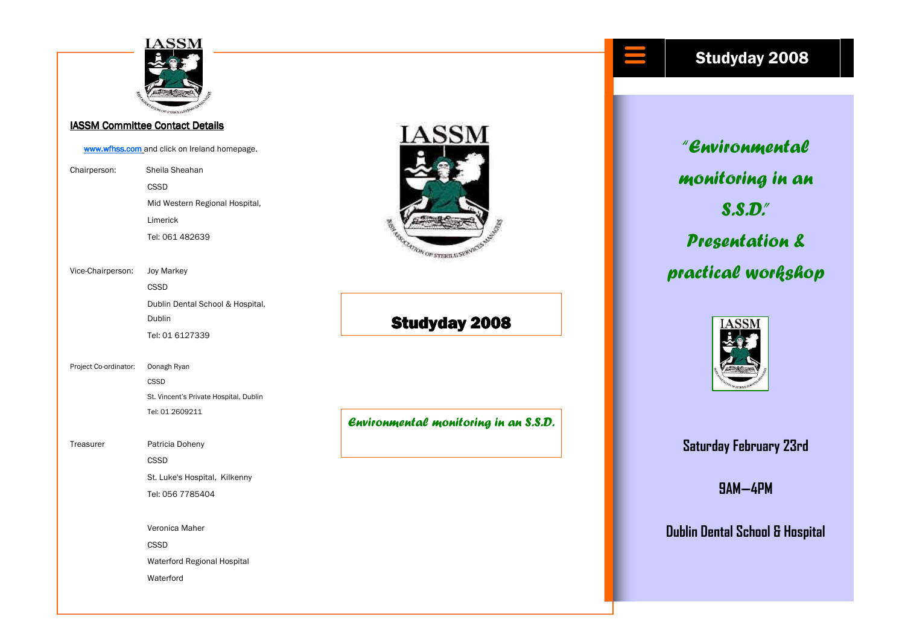

#### IASSM Committee Contact Details

www.wfhss.com and click on Ireland homepage. Chairperson: Sheila Sheahan CSSD Mid Western Regional Hospital, Limerick Tel: 061 482639 Vice-Chairperson: Joy Markey CSSD Dublin Dental School & Hospital, Dublin Tel: 01 6127339 Project Co-ordinator: Oonagh Ryan **CSSD**  St. Vincent's Private Hospital, Dublin Tel: 01 2609211 Treasurer Patricia Doheny CSSD St. Luke's Hospital, Kilkenny Tel: 056 7785404 Veronica Maher CSSD Waterford Regional Hospital Waterford



## **Studyday 2008**

Environmental monitoring in an S.S.D.

### Studyday 2008

"Environmental monitoring in an S.S.D." Presentation & practical workshop



Saturday February 23rd

9AM—4PM

Dublin Dental School & Hospital